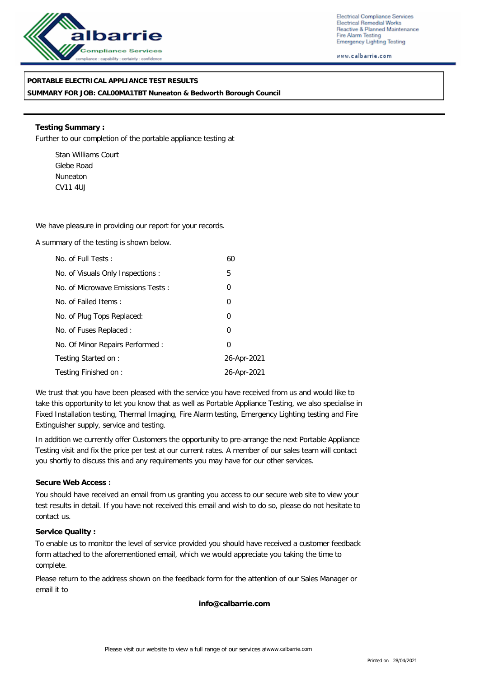

Electrical Compliance Services Electrical Remedial Works Reactive & Planned Maintenance Fire Alarm Testing Emergency Lighting Testing

www.calbarrie.com

## **PORTABLE ELECTRICAL APPLIANCE TEST RESULTS**

**SUMMARY FOR JOB: CAL00MA1TBT Nuneaton & Bedworth Borough Council**

**Testing Summary :** Further to our completion of the portable appliance testing at

Stan Williams Court Glebe Road Nuneaton CV11 4UJ

We have pleasure in providing our report for your records.

A summary of the testing is shown below.

| No. of Full Tests:                | 60             |
|-----------------------------------|----------------|
| No. of Visuals Only Inspections : | 5              |
| No. of Microwave Emissions Tests: | 0              |
| No. of Failed Items:              | $\overline{0}$ |
| No. of Plug Tops Replaced:        | $\overline{0}$ |
| No. of Fuses Replaced:            | 0              |
| No. Of Minor Repairs Performed:   | $\Omega$       |
| Testing Started on:               | 26-Apr-2021    |
| Testing Finished on:              | 26-Apr-2021    |

We trust that you have been pleased with the service you have received from us and would like to take this opportunity to let you know that as well as Portable Appliance Testing, we also specialise in Fixed Installation testing, Thermal Imaging, Fire Alarm testing, Emergency Lighting testing and Fire Extinguisher supply, service and testing.

In addition we currently offer Customers the opportunity to pre-arrange the next Portable Appliance Testing visit and fix the price per test at our current rates. A member of our sales team will contact you shortly to discuss this and any requirements you may have for our other services.

### **Secure Web Access :**

You should have received an email from us granting you access to our secure web site to view your test results in detail. If you have not received this email and wish to do so, please do not hesitate to contact us.

### **Service Quality :**

To enable us to monitor the level of service provided you should have received a customer feedback form attached to the aforementioned email, which we would appreciate you taking the time to complete.

Please return to the address shown on the feedback form for the attention of our Sales Manager or email it to

**info@calbarrie.com**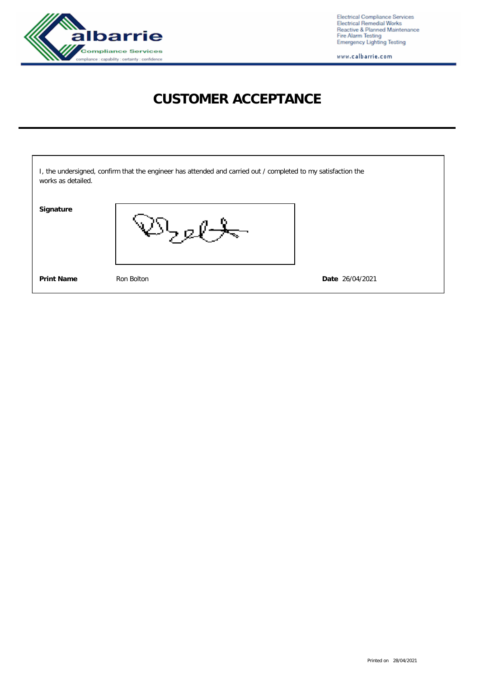

Electrical Compliance Services<br>Electrical Remedial Works<br>Reactive & Planned Maintenance<br>Fire Alarm Testing<br>Emergency Lighting Testing

www.calbarrie.com

# **CUSTOMER ACCEPTANCE**

| works as detailed. | I, the undersigned, confirm that the engineer has attended and carried out / completed to my satisfaction the |                 |
|--------------------|---------------------------------------------------------------------------------------------------------------|-----------------|
| Signature          |                                                                                                               |                 |
| Print Name         | Ron Bolton                                                                                                    | Date 26/04/2021 |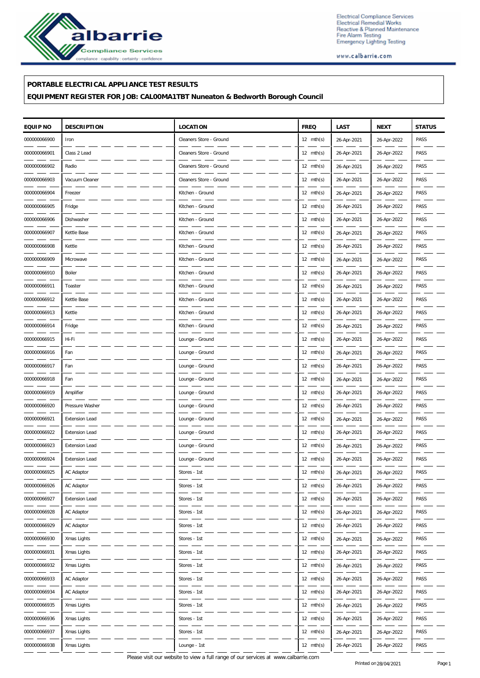

Electrical Compliance Services<br>Electrical Remedial Works<br>Reactive & Planned Maintenance<br>Fire Alarm Testing<br>Emergency Lighting Testing

www.calbarrie.com

### **PORTABLE ELECTRICAL APPLIANCE TEST RESULTS**

**EQUIPMENT REGISTER FOR JOB: CAL00MA1TBT Nuneaton & Bedworth Borough Council**

| EQUIP NO     | <b>DESCRIPTION</b>    | <b>LOCATION</b>         | <b>FREQ</b>         | LAST        | <b>NEXT</b> | <b>STATUS</b> |
|--------------|-----------------------|-------------------------|---------------------|-------------|-------------|---------------|
| 000000066900 | Iron                  | Cleaners Store - Ground | $12 \text{ mth(s)}$ | 26-Apr-2021 | 26-Apr-2022 | PASS          |
| 000000066901 | Class 2 Lead          | Cleaners Store - Ground | $12 \text{ mth(s)}$ | 26-Apr-2021 | 26-Apr-2022 | PASS          |
| 000000066902 | Radio                 | Cleaners Store - Ground | $12 \text{ mth(s)}$ | 26-Apr-2021 | 26-Apr-2022 | PASS          |
| 000000066903 | Vacuum Cleaner        | Cleaners Store - Ground | $12 \text{ mth(s)}$ | 26-Apr-2021 | 26-Apr-2022 | PASS          |
| 000000066904 | Freezer               | Kitchen - Ground        | $12 \text{ mth(s)}$ | 26-Apr-2021 | 26-Apr-2022 | PASS          |
| 000000066905 | Fridge                | Kitchen - Ground        | $12 \text{ mth(s)}$ | 26-Apr-2021 | 26-Apr-2022 | PASS          |
| 000000066906 | Dishwasher            | Kitchen - Ground        | $12 \text{ mth(s)}$ | 26-Apr-2021 | 26-Apr-2022 | PASS          |
| 000000066907 | Kettle Base           | Kitchen - Ground        | $12 \text{ mth(s)}$ | 26-Apr-2021 | 26-Apr-2022 | PASS          |
| 000000066908 | Kettle                | Kitchen - Ground        | $12 \text{ mth(s)}$ | 26-Apr-2021 | 26-Apr-2022 | PASS          |
| 000000066909 | Microwave             | Kitchen - Ground        | 12 $mth(s)$         | 26-Apr-2021 | 26-Apr-2022 | PASS          |
| 000000066910 | Boiler                | Kitchen - Ground        | $12 \text{ mth(s)}$ | 26-Apr-2021 | 26-Apr-2022 | PASS          |
| 000000066911 | Toaster               | Kitchen - Ground        | $12 \text{ mth(s)}$ | 26-Apr-2021 | 26-Apr-2022 | PASS          |
| 000000066912 | Kettle Base           | Kitchen - Ground        | 12 $mth(s)$         | 26-Apr-2021 | 26-Apr-2022 | PASS          |
| 000000066913 | Kettle                | Kitchen - Ground        | 12 $mth(s)$         | 26-Apr-2021 | 26-Apr-2022 | PASS          |
| 000000066914 | Fridge                | Kitchen - Ground        | $12 \text{ mth(s)}$ | 26-Apr-2021 | 26-Apr-2022 | PASS          |
| 000000066915 | Hi-Fi                 | Lounge - Ground         | $12 \text{ mth(s)}$ | 26-Apr-2021 | 26-Apr-2022 | PASS          |
| 000000066916 | Fan                   | Lounge - Ground         | 12 $mth(s)$         | 26-Apr-2021 | 26-Apr-2022 | PASS          |
| 000000066917 | Fan                   | Lounge - Ground         | 12 $mth(s)$         | 26-Apr-2021 | 26-Apr-2022 | PASS          |
| 000000066918 | Fan                   | Lounge - Ground         | $12 \text{ mth(s)}$ | 26-Apr-2021 | 26-Apr-2022 | PASS          |
| 000000066919 | Amplifier             | Lounge - Ground         | $12 \text{ mth(s)}$ | 26-Apr-2021 | 26-Apr-2022 | PASS          |
| 000000066920 | Pressure Washer       | Lounge - Ground         | 12 $mth(s)$         | 26-Apr-2021 | 26-Apr-2022 | PASS          |
| 000000066921 | <b>Extension Lead</b> | Lounge - Ground         | 12 $mth(s)$         | 26-Apr-2021 | 26-Apr-2022 | PASS          |
| 000000066922 | <b>Extension Lead</b> | Lounge - Ground         | $12 \text{ mth(s)}$ | 26-Apr-2021 | 26-Apr-2022 | PASS          |
| 000000066923 | <b>Extension Lead</b> | Lounge - Ground         | $12 \text{ mth(s)}$ | 26-Apr-2021 | 26-Apr-2022 | PASS          |
| 000000066924 | <b>Extension Lead</b> | Lounge - Ground         | 12 mth(s)           | 26-Apr-2021 | 26-Apr-2022 | PASS          |
| 000000066925 | AC Adaptor            | Stores - 1st            | $12 \text{ mth(s)}$ | 26-Apr-2021 | 26-Apr-2022 | PASS          |
| 000000066926 | AC Adaptor            | Stores - 1st            | 12 mth(s)           | 26-Apr-2021 | 26-Apr-2022 | PASS          |
| 000000066927 | Extension Lead        | Stores - 1st            | $12 \text{ mth(s)}$ | 26-Apr-2021 | 26-Apr-2022 | PASS          |
| 000000066928 | AC Adaptor            | Stores - 1st            | 12 $mth(s)$         | 26-Apr-2021 | 26-Apr-2022 | PASS          |
| 000000066929 | AC Adaptor            | Stores - 1st            | 12 $mth(s)$         | 26-Apr-2021 | 26-Apr-2022 | PASS          |
| 000000066930 | Xmas Lights           | Stores - 1st            | $12 \text{ mth(s)}$ | 26-Apr-2021 | 26-Apr-2022 | PASS          |
| 000000066931 | Xmas Lights           | Stores - 1st            | $12 \text{ mth(s)}$ | 26-Apr-2021 | 26-Apr-2022 | PASS          |
| 000000066932 | Xmas Lights           | Stores - 1st            | 12 $mth(s)$         | 26-Apr-2021 | 26-Apr-2022 | PASS          |
| 000000066933 | AC Adaptor            | Stores - 1st            | 12 $mth(s)$         | 26-Apr-2021 | 26-Apr-2022 | PASS          |
| 000000066934 | AC Adaptor            | Stores - 1st            | $12 \text{ mth(s)}$ | 26-Apr-2021 | 26-Apr-2022 | PASS          |
| 000000066935 | Xmas Lights           | Stores - 1st            | $12 \text{ mth(s)}$ | 26-Apr-2021 | 26-Apr-2022 | PASS          |
| 000000066936 | Xmas Lights           | Stores - 1st            | 12 $mth(s)$         | 26-Apr-2021 | 26-Apr-2022 | PASS          |
| 000000066937 | Xmas Lights           | Stores - 1st            | 12 mth(s)           | 26-Apr-2021 | 26-Apr-2022 | PASS          |
| 000000066938 | Xmas Lights           | Lounge - 1st            | 12 mth(s)           | 26-Apr-2021 | 26-Apr-2022 | PASS          |

Please visit our website to view a full range of our services at www.calbarrie.com Printed on 28/04/2021 Page 1